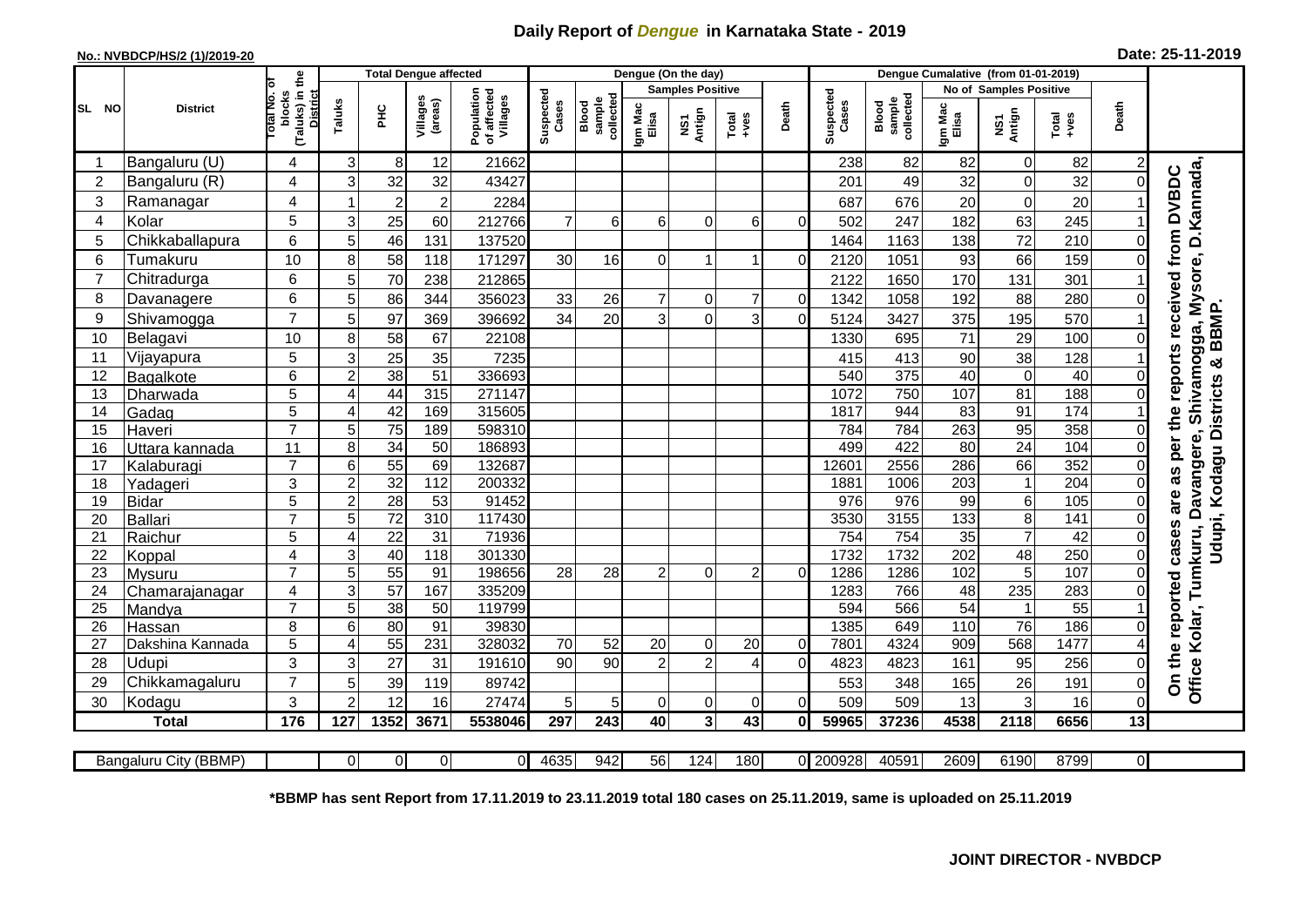## **Daily Report of** *Dengue* **in Karnataka State - 2019**

## **No.: NVBDCP/HS/2 (1)/2019-20 Date: 25-11-2019**

|                | <b>District</b>       |                                                             | <b>Total Dengue affected</b>        |                                       |                    |                              |                  |                |                                                                                                                                                                                                                                                                                                                                                                                                             | Dengue (On the day) |                    |                              |                  |               |                  |                         |      |                |                                                              |
|----------------|-----------------------|-------------------------------------------------------------|-------------------------------------|---------------------------------------|--------------------|------------------------------|------------------|----------------|-------------------------------------------------------------------------------------------------------------------------------------------------------------------------------------------------------------------------------------------------------------------------------------------------------------------------------------------------------------------------------------------------------------|---------------------|--------------------|------------------------------|------------------|---------------|------------------|-------------------------|------|----------------|--------------------------------------------------------------|
|                |                       |                                                             |                                     |                                       |                    |                              |                  |                | <b>Samples Positive</b>                                                                                                                                                                                                                                                                                                                                                                                     |                     |                    |                              |                  |               |                  | No of Samples Positive  |      |                |                                                              |
| SL NO          |                       | (Taluks) in the<br>otal No. of<br>blocks<br><b>District</b> | Villages<br>(areas)<br>Taluks<br>ĔБ | Population<br>of affected<br>Villages | Suspected<br>Cases | sample<br>collected<br>Blood | Igm Mac<br>Elisa | NS1<br>Antign  | $\begin{array}{c}\n\text{Total} \\ \text{1-4} \\ \text{1-4} \\ \text{1-4} \\ \text{1-4} \\ \text{1-4} \\ \text{1-4} \\ \text{1-4} \\ \text{1-4} \\ \text{1-4} \\ \text{1-4} \\ \text{1-4} \\ \text{1-4} \\ \text{1-4} \\ \text{1-4} \\ \text{1-4} \\ \text{1-4} \\ \text{1-4} \\ \text{1-4} \\ \text{1-4} \\ \text{1-4} \\ \text{1-4} \\ \text{1-4} \\ \text{1-4} \\ \text{1-4} \\ \text{1-4} \\ \text{1-4$ | Death               | Suspected<br>Cases | collected<br>sample<br>Blood | Igm Mac<br>Elisa | NS1<br>Antign | Total<br>+ves    | Death                   |      |                |                                                              |
|                | Bangaluru (U)         | 4                                                           | 3                                   | 8                                     | 12                 | 21662                        |                  |                |                                                                                                                                                                                                                                                                                                                                                                                                             |                     |                    |                              | 238              | 82            | 82               | $\overline{0}$          | 82   | 2              |                                                              |
| $\overline{2}$ | Bangaluru (R)         | 4                                                           | 3                                   | 32                                    | 32                 | 43427                        |                  |                |                                                                                                                                                                                                                                                                                                                                                                                                             |                     |                    |                              | 201              | 49            | 32               | $\mathbf 0$             | 32   | 0              |                                                              |
| 3              | Ramanagar             | 4                                                           | 1                                   | $\overline{c}$                        | $\overline{2}$     | 2284                         |                  |                |                                                                                                                                                                                                                                                                                                                                                                                                             |                     |                    |                              | 687              | 676           | 20               | $\mathbf 0$             | 20   |                | Shivamogga, Mysore, D.Kannada<br>reports received from DVBDC |
| 4              | Kolar                 | 5                                                           | 3                                   | 25                                    | 60                 | 212766                       | $\overline{7}$   | $6\phantom{1}$ | 6                                                                                                                                                                                                                                                                                                                                                                                                           | $\Omega$            | 6                  | $\Omega$                     | 502              | 247           | 182              | 63                      | 245  |                |                                                              |
| 5              | Chikkaballapura       | 6                                                           | 5                                   | 46                                    | 131                | 137520                       |                  |                |                                                                                                                                                                                                                                                                                                                                                                                                             |                     |                    |                              | 1464             | 1163          | 138              | 72                      | 210  | 0              |                                                              |
| 6              | Tumakuru              | 10                                                          | 8                                   | 58                                    | 118                | 171297                       | 30               | 16             | 0                                                                                                                                                                                                                                                                                                                                                                                                           |                     |                    | $\mathbf 0$                  | 2120             | 1051          | 93               | 66                      | 159  | 0              |                                                              |
| $\overline{7}$ | Chitradurga           | 6                                                           | 5                                   | $\overline{70}$                       | 238                | 212865                       |                  |                |                                                                                                                                                                                                                                                                                                                                                                                                             |                     |                    |                              | 2122             | 1650          | 170              | 131                     | 301  |                |                                                              |
| 8              | Davanagere            | 6                                                           | 5                                   | 86                                    | 344                | 356023                       | 33               | 26             | $\overline{7}$                                                                                                                                                                                                                                                                                                                                                                                              | $\overline{0}$      | $\overline{7}$     | $\overline{0}$               | 1342             | 1058          | 192              | 88                      | 280  | $\Omega$       |                                                              |
| 9              | Shivamogga            | $\overline{7}$                                              | 5                                   | 97                                    | 369                | 396692                       | 34               | 20             | $\overline{3}$                                                                                                                                                                                                                                                                                                                                                                                              | $\mathbf 0$         | 3                  | $\Omega$                     | 5124             | 3427          | 375              | 195                     | 570  |                | <b>BBMP</b>                                                  |
| 10             | Belagavi              | 10                                                          | 8                                   | 58                                    | 67                 | 22108                        |                  |                |                                                                                                                                                                                                                                                                                                                                                                                                             |                     |                    |                              | 1330             | 695           | 71               | $\overline{29}$         | 100  | 0              |                                                              |
| 11             | Vijayapura            | 5                                                           | 3                                   | 25                                    | 35                 | 7235                         |                  |                |                                                                                                                                                                                                                                                                                                                                                                                                             |                     |                    |                              | 415              | 413           | 90               | 38                      | 128  |                | ×                                                            |
| 12             | Bagalkote             | 6                                                           | $\overline{c}$                      | 38                                    | 51                 | 336693                       |                  |                |                                                                                                                                                                                                                                                                                                                                                                                                             |                     |                    |                              | 540              | 375           | 40               | $\overline{\mathsf{o}}$ | 40   | $\Omega$       |                                                              |
| 13             | Dharwada              | 5                                                           | 4                                   | 44                                    | 315                | 271147                       |                  |                |                                                                                                                                                                                                                                                                                                                                                                                                             |                     |                    |                              | 1072             | 750           | 107              | 81                      | 188  |                | Udupi, Kodagu Districts                                      |
| 14             | Gadag                 | $\overline{5}$                                              | 4                                   | 42                                    | 169                | 315605                       |                  |                |                                                                                                                                                                                                                                                                                                                                                                                                             |                     |                    |                              | 1817             | 944           | 83               | 91                      | 174  |                |                                                              |
| 15             | Haveri                | $\overline{7}$                                              | 5                                   | 75                                    | 189                | 598310                       |                  |                |                                                                                                                                                                                                                                                                                                                                                                                                             |                     |                    |                              | 784              | 784           | 263              | 95                      | 358  | $\Omega$       |                                                              |
| 16             | Uttara kannada        | 11                                                          | 8                                   | $\overline{34}$                       | 50                 | 186893                       |                  |                |                                                                                                                                                                                                                                                                                                                                                                                                             |                     |                    |                              | 499              | 422           | 80               | 24                      | 104  | $\Omega$       | per the<br>Davangere,                                        |
| 17             | Kalaburagi            | $\overline{7}$                                              | 6                                   | $\overline{55}$                       | 69                 | 132687                       |                  |                |                                                                                                                                                                                                                                                                                                                                                                                                             |                     |                    |                              | 12601            | 2556          | 286              | 66                      | 352  | 0              |                                                              |
| 18             | Yadageri              | 3                                                           | $\overline{2}$                      | 32                                    | 112                | 200332                       |                  |                |                                                                                                                                                                                                                                                                                                                                                                                                             |                     |                    |                              | 1881             | 1006          | 203              | $\mathbf{1}$            | 204  | $\Omega$       | as                                                           |
| 19             | <b>Bidar</b>          | 5                                                           | $\overline{c}$                      | 28                                    | 53                 | 91452                        |                  |                |                                                                                                                                                                                                                                                                                                                                                                                                             |                     |                    |                              | 976              | 976           | 99               | 6                       | 105  | 0              | are                                                          |
| 20             | <b>Ballari</b>        | $\overline{7}$                                              | 5                                   | $\overline{72}$                       | 310                | 117430                       |                  |                |                                                                                                                                                                                                                                                                                                                                                                                                             |                     |                    |                              | 3530             | 3155          | $\overline{133}$ | $\overline{8}$          | 141  | 0              |                                                              |
| 21             | Raichur               | 5                                                           | 4                                   | $\overline{22}$                       | $\overline{31}$    | 71936                        |                  |                |                                                                                                                                                                                                                                                                                                                                                                                                             |                     |                    |                              | 754              | 754           | $\overline{35}$  | $\overline{7}$          | 42   | 0              | cases                                                        |
| 22             | Koppal                | 4                                                           | 3                                   | 40                                    | 118                | 301330                       |                  |                |                                                                                                                                                                                                                                                                                                                                                                                                             |                     |                    |                              | 1732             | 1732          | 202              | 48                      | 250  | $\Omega$       |                                                              |
| 23             | Mysuru                | $\overline{7}$                                              | 5                                   | 55                                    | $\overline{91}$    | 198656                       | 28               | 28             | $\overline{c}$                                                                                                                                                                                                                                                                                                                                                                                              | $\overline{0}$      | $\overline{2}$     | $\overline{0}$               | 1286             | 1286          | 102              | 5                       | 107  | 0              |                                                              |
| 24             | Chamarajanagar        | 4                                                           | 3                                   | $\overline{57}$                       | 167                | 335209                       |                  |                |                                                                                                                                                                                                                                                                                                                                                                                                             |                     |                    |                              | 1283             | 766           | 48               | 235                     | 283  | $\Omega$       |                                                              |
| 25             | Mandya                | $\overline{7}$                                              | 5                                   | 38                                    | $\overline{50}$    | 119799                       |                  |                |                                                                                                                                                                                                                                                                                                                                                                                                             |                     |                    |                              | 594              | 566           | 54               | $\mathbf{1}$            | 55   |                |                                                              |
| 26             | Hassan                | 8                                                           | 6                                   | 80                                    | 91                 | 39830                        |                  |                |                                                                                                                                                                                                                                                                                                                                                                                                             |                     |                    |                              | 1385             | 649           | 110              | 76                      | 186  | $\overline{O}$ |                                                              |
| 27             | Dakshina Kannada      | 5                                                           | 4                                   | $\overline{55}$                       | 231                | 328032                       | 70               | 52             | 20                                                                                                                                                                                                                                                                                                                                                                                                          | $\Omega$            | 20                 | $\Omega$                     | 7801             | 4324          | 909              | 568                     | 1477 |                |                                                              |
| 28             | Udupi                 | 3                                                           | 3                                   | 27                                    | 31                 | 191610                       | 90               | 90             | $\overline{2}$                                                                                                                                                                                                                                                                                                                                                                                              | $\overline{2}$      |                    | $\Omega$                     | 4823             | 4823          | 161              | 95                      | 256  | 0              | On the reported                                              |
| 29             | Chikkamagaluru        | $\overline{7}$                                              | 5                                   | 39                                    | 119                | 89742                        |                  |                |                                                                                                                                                                                                                                                                                                                                                                                                             |                     |                    |                              | 553              | 348           | 165              | 26                      | 191  | $\Omega$       | Office Kolar, Tumkuru,                                       |
| 30             | Kodagu                | 3                                                           | $\overline{2}$                      | 12                                    | 16                 | 27474                        | 5                | 5              | 0                                                                                                                                                                                                                                                                                                                                                                                                           | $\overline{0}$      | 0                  | $\Omega$                     | 509              | 509           | 13               | 3                       | 16   | $\Omega$       |                                                              |
|                | <b>Total</b>          | 176                                                         | 127                                 | 1352                                  | 3671               | 5538046                      | 297              | 243            | 40                                                                                                                                                                                                                                                                                                                                                                                                          | 3 <sup>1</sup>      | 43                 | $\mathbf{0}$                 | 59965            | 37236         | 4538             | 2118                    | 6656 | 13             |                                                              |
|                | Bangaluru City (BBMP) |                                                             | ΟI                                  | 0                                     | $\Omega$           | $\mathbf{0}$                 | 4635             | 942            | 56                                                                                                                                                                                                                                                                                                                                                                                                          | 124                 | 180                |                              | 0 200928         | 40591         | 2609             | 6190                    | 8799 | $\overline{0}$ |                                                              |

**\*BBMP has sent Report from 17.11.2019 to 23.11.2019 total 180 cases on 25.11.2019, same is uploaded on 25.11.2019**